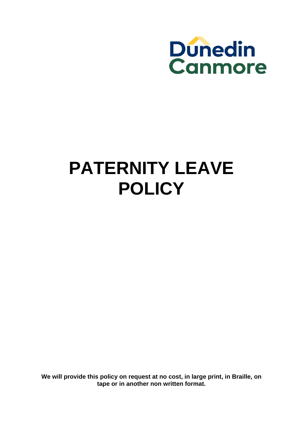

# **PATERNITY LEAVE POLICY**

**We will provide this policy on request at no cost, in large print, in Braille, on tape or in another non written format.**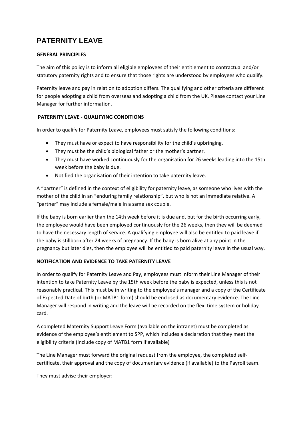# **PATERNITY LEAVE**

## **GENERAL PRINCIPLES**

The aim of this policy is to inform all eligible employees of their entitlement to contractual and/or statutory paternity rights and to ensure that those rights are understood by employees who qualify.

Paternity leave and pay in relation to adoption differs. The qualifying and other criteria are different for people adopting a child from overseas and adopting a child from the UK. Please contact your Line Manager for further information.

# **PATERNITY LEAVE ‐ QUALIFYING CONDITIONS**

In order to qualify for Paternity Leave, employees must satisfy the following conditions:

- They must have or expect to have responsibility for the child's upbringing.
- They must be the child's biological father or the mother's partner.
- They must have worked continuously for the organisation for 26 weeks leading into the 15th week before the baby is due.
- Notified the organisation of their intention to take paternity leave.

A "partner" is defined in the context of eligibility for paternity leave, as someone who lives with the mother of the child in an "enduring family relationship", but who is not an immediate relative. A "partner" may include a female/male in a same sex couple.

If the baby is born earlier than the 14th week before it is due and, but for the birth occurring early, the employee would have been employed continuously for the 26 weeks, then they will be deemed to have the necessary length of service. A qualifying employee will also be entitled to paid leave if the baby is stillborn after 24 weeks of pregnancy. If the baby is born alive at any point in the pregnancy but later dies, then the employee will be entitled to paid paternity leave in the usual way.

# **NOTIFICATION AND EVIDENCE TO TAKE PATERNITY LEAVE**

In order to qualify for Paternity Leave and Pay, employees must inform their Line Manager of their intention to take Paternity Leave by the 15th week before the baby is expected, unless this is not reasonably practical. This must be in writing to the employee's manager and a copy of the Certificate of Expected Date of birth (or MATB1 form) should be enclosed as documentary evidence. The Line Manager will respond in writing and the leave will be recorded on the flexi time system or holiday card.

A completed Maternity Support Leave Form (available on the intranet) must be completed as evidence of the employee's entitlement to SPP, which includes a declaration that they meet the eligibility criteria (include copy of MATB1 form if available)

The Line Manager must forward the original request from the employee, the completed self‐ certificate, their approval and the copy of documentary evidence (if available) to the Payroll team.

They must advise their employer: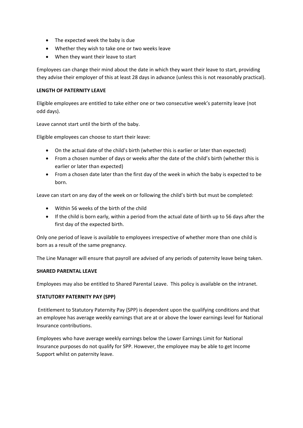- The expected week the baby is due
- Whether they wish to take one or two weeks leave
- When they want their leave to start

Employees can change their mind about the date in which they want their leave to start, providing they advise their employer of this at least 28 days in advance (unless this is not reasonably practical).

### **LENGTH OF PATERNITY LEAVE**

Eligible employees are entitled to take either one or two consecutive week's paternity leave (not odd days).

Leave cannot start until the birth of the baby.

Eligible employees can choose to start their leave:

- On the actual date of the child's birth (whether this is earlier or later than expected)
- From a chosen number of days or weeks after the date of the child's birth (whether this is earlier or later than expected)
- From a chosen date later than the first day of the week in which the baby is expected to be born.

Leave can start on any day of the week on or following the child's birth but must be completed:

- Within 56 weeks of the birth of the child
- If the child is born early, within a period from the actual date of birth up to 56 days after the first day of the expected birth.

Only one period of leave is available to employees irrespective of whether more than one child is born as a result of the same pregnancy.

The Line Manager will ensure that payroll are advised of any periods of paternity leave being taken.

#### **SHARED PARENTAL LEAVE**

Employees may also be entitled to Shared Parental Leave. This policy is available on the intranet.

# **STATUTORY PATERNITY PAY (SPP)**

Entitlement to Statutory Paternity Pay (SPP) is dependent upon the qualifying conditions and that an employee has average weekly earnings that are at or above the lower earnings level for National Insurance contributions.

Employees who have average weekly earnings below the Lower Earnings Limit for National Insurance purposes do not qualify for SPP. However, the employee may be able to get Income Support whilst on paternity leave.